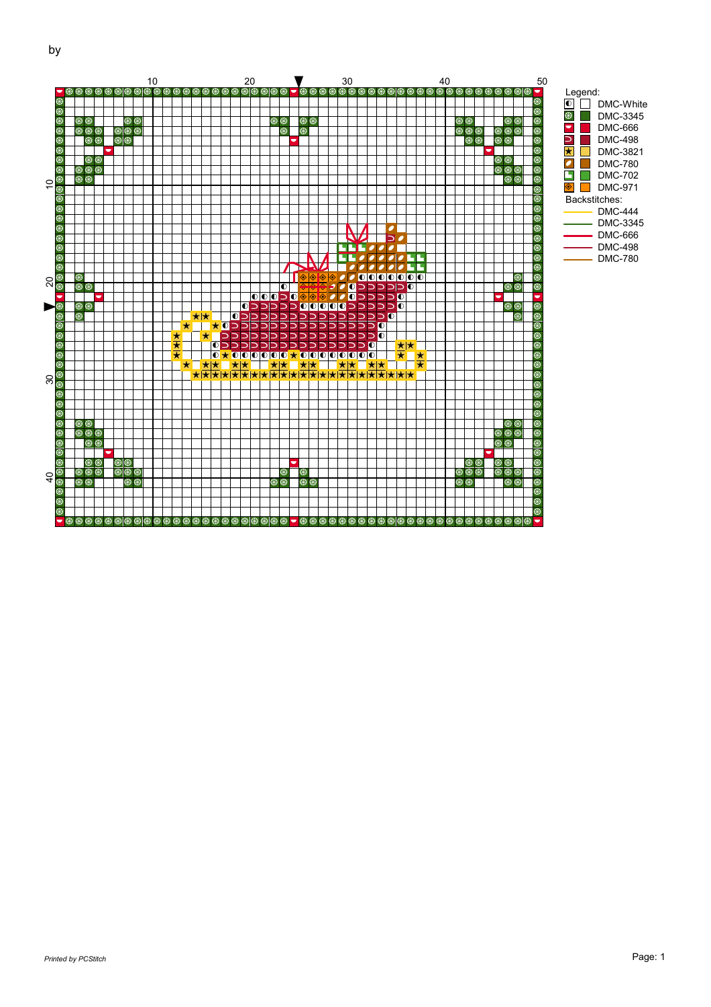